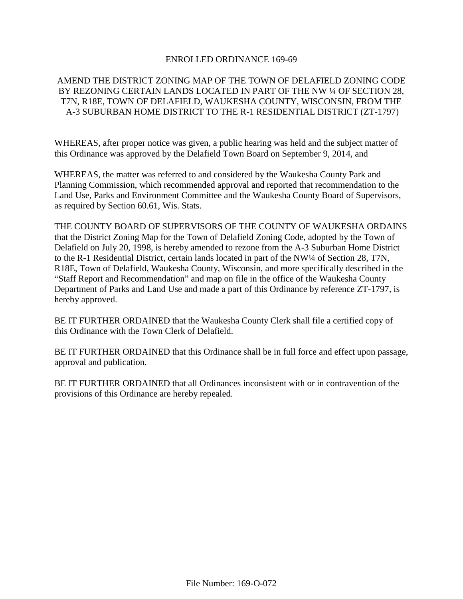### ENROLLED ORDINANCE 169-69

### AMEND THE DISTRICT ZONING MAP OF THE TOWN OF DELAFIELD ZONING CODE BY REZONING CERTAIN LANDS LOCATED IN PART OF THE NW ¼ OF SECTION 28, T7N, R18E, TOWN OF DELAFIELD, WAUKESHA COUNTY, WISCONSIN, FROM THE A-3 SUBURBAN HOME DISTRICT TO THE R-1 RESIDENTIAL DISTRICT (ZT-1797)

WHEREAS, after proper notice was given, a public hearing was held and the subject matter of this Ordinance was approved by the Delafield Town Board on September 9, 2014, and

WHEREAS, the matter was referred to and considered by the Waukesha County Park and Planning Commission, which recommended approval and reported that recommendation to the Land Use, Parks and Environment Committee and the Waukesha County Board of Supervisors, as required by Section 60.61, Wis. Stats.

THE COUNTY BOARD OF SUPERVISORS OF THE COUNTY OF WAUKESHA ORDAINS that the District Zoning Map for the Town of Delafield Zoning Code, adopted by the Town of Delafield on July 20, 1998, is hereby amended to rezone from the A-3 Suburban Home District to the R-1 Residential District, certain lands located in part of the NW1/4 of Section 28, T7N, R18E, Town of Delafield, Waukesha County, Wisconsin, and more specifically described in the "Staff Report and Recommendation" and map on file in the office of the Waukesha County Department of Parks and Land Use and made a part of this Ordinance by reference ZT-1797, is hereby approved.

BE IT FURTHER ORDAINED that the Waukesha County Clerk shall file a certified copy of this Ordinance with the Town Clerk of Delafield.

BE IT FURTHER ORDAINED that this Ordinance shall be in full force and effect upon passage, approval and publication.

BE IT FURTHER ORDAINED that all Ordinances inconsistent with or in contravention of the provisions of this Ordinance are hereby repealed.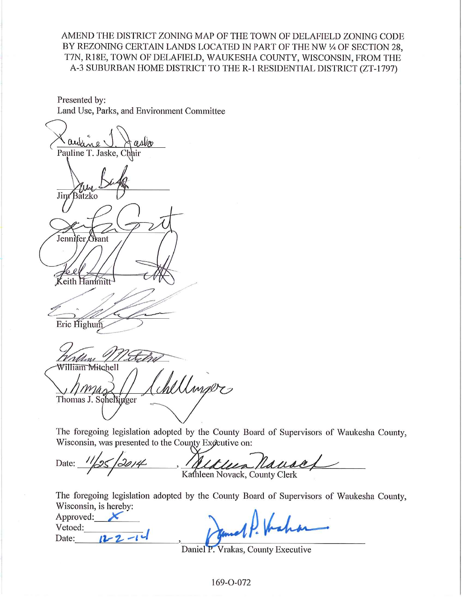### AMEND THE DISTRICT ZONING MAP OF THE TOWN OF DELAFIELD ZONING CODE BY REZONING CERTAIN LANDS LOCATED IN PART OF THE NW 1/4 OF SECTION 28. T7N, R18E, TOWN OF DELAFIELD, WAUKESHA COUNTY, WISCONSIN, FROM THE A-3 SUBURBAN HOME DISTRICT TO THE R-1 RESIDENTIAL DISTRICT (ZT-1797)

Presented by: Land Use, Parks, and Environment Committee

Pauline T. Jaske, C Jim Batzko Jennifer Orant Keith Hanimitt Eric Highum Udini William Mitchell ellinger Thomas J. Schellinger

The foregoing legislation adopted by the County Board of Supervisors of Waukesha County, Wisconsin, was presented to the County Executive on:

Kause Date: Kathleen Novack, County Clerk

The foregoing legislation adopted by the County Board of Supervisors of Waukesha County, Wisconsin, is hereby:

Approved: Vetoed: Date:  $12 - 2 - 1$ 

Daniel P. Vrakas, County Executive

169-0-072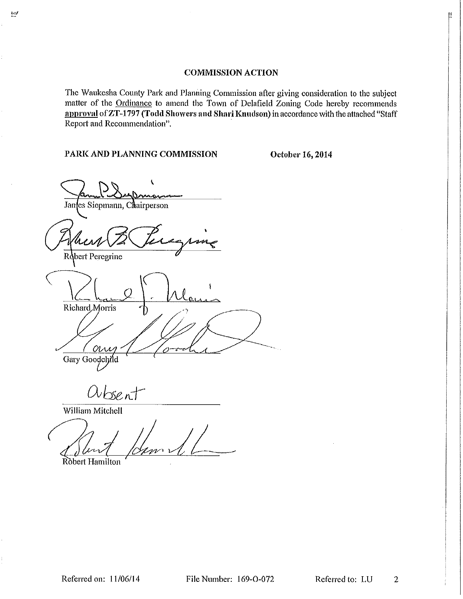### **COMMISSION ACTION**

The Waukesha County Park and Planning Commission after giving consideration to the subject matter of the Ordinance to amend the Town of Delafield Zoning Code hereby recommends approval of ZT-1797 (Todd Showers and Shari Knudson) in accordance with the attached "Staff Report and Recommendation".

File Number: 169-O-072

PARK AND PLANNING COMMISSION

October 16, 2014

Jan les Siepmann, Chairperson bert Peregrine Richard Morris  $\alpha_{\Lambda}$ Gary Goodchild  $\alpha_{best}$ 

William Mitchell

Robert Hamilton

Referred to: LU  $\overline{2}$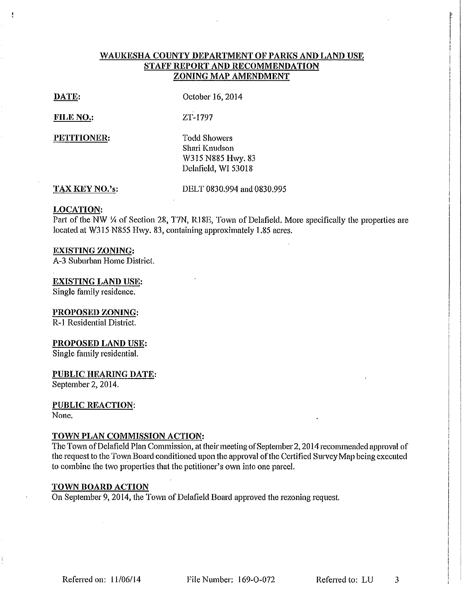### WAUKESHA COUNTY DEPARTMENT OF PARKS AND LAND USE STAFF REPORT AND RECOMMENDATION **ZONING MAP AMENDMENT**

### DATE:

October 16, 2014

ZT-1797

### FILE NO.:

PETITIONER:

**Todd Showers** Shari Knudson W315 N885 Hwy. 83 Delafield, WI 53018

### TAX KEY NO.'s:

DELT 0830.994 and 0830.995

#### **LOCATION:**

Part of the NW ¼ of Section 28, T7N, R18E, Town of Delafield. More specifically the properties are located at W315 N855 Hwy. 83, containing approximately 1.85 acres.

### **EXISTING ZONING:**

A-3 Suburban Home District.

#### **EXISTING LAND USE:**

Single family residence.

### PROPOSED ZONING:

R-1 Residential District.

#### PROPOSED LAND USE:

Single family residential.

### PUBLIC HEARING DATE:

September 2, 2014.

## **PUBLIC REACTION:**

None.

### TOWN PLAN COMMISSION ACTION:

The Town of Delafield Plan Commission, at their meeting of September 2, 2014 recommended approval of the request to the Town Board conditioned upon the approval of the Certified Survey Map being executed to combine the two properties that the petitioner's own into one parcel.

### **TOWN BOARD ACTION**

On September 9, 2014, the Town of Delafield Board approved the rezoning request.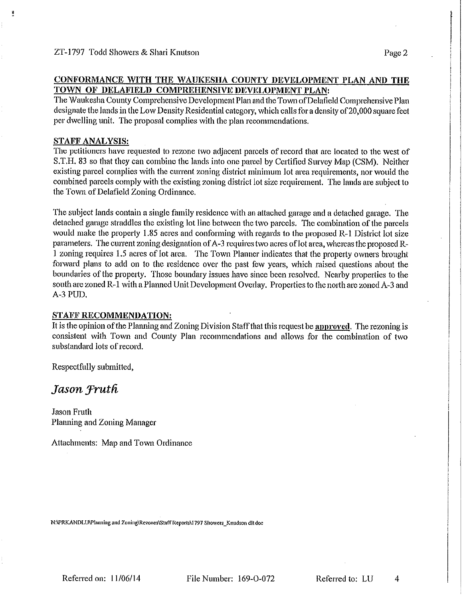### CONFORMANCE WITH THE WAUKESHA COUNTY DEVELOPMENT PLAN AND THE TOWN OF DELAFIELD COMPREHENSIVE DEVELOPMENT PLAN:

The Waukesha County Comprehensive Development Plan and the Town of Delafield Comprehensive Plan designate the lands in the Low Density Residential category, which calls for a density of 20,000 square feet per dwelling unit. The proposal complies with the plan recommendations.

### **STAFF ANALYSIS:**

The petitioners have requested to rezone two adjacent parcels of record that are located to the west of S.T.H. 83 so that they can combine the lands into one parcel by Certified Survey Map (CSM). Neither existing parcel complies with the current zoning district minimum lot area requirements, nor would the combined parcels comply with the existing zoning district lot size requirement. The lands are subject to the Town of Delafield Zoning Ordinance.

The subject lands contain a single family residence with an attached garage and a detached garage. The detached garage straddles the existing lot line between the two parcels. The combination of the parcels would make the property 1.85 acres and conforming with regards to the proposed R-1 District lot size parameters. The current zoning designation of A-3 requires two acres of lot area, whereas the proposed R-1 zoning requires 1.5 acres of lot area. The Town Planner indicates that the property owners brought forward plans to add on to the residence over the past few years, which raised questions about the boundaries of the property. Those boundary issues have since been resolved. Nearby properties to the south are zoned R-1 with a Planned Unit Development Overlay. Properties to the north are zoned A-3 and A-3 PUD.

### **STAFF RECOMMENDATION:**

It is the opinion of the Planning and Zoning Division Staff that this request be **approved**. The rezoning is consistent with Town and County Plan recommendations and allows for the combination of two substandard lots of record.

Respectfully submitted,

# Jason Fruth

Jason Fruth Planning and Zoning Manager

Attachments: Map and Town Ordinance

N:\PRKANDLU\Planning and Zoning\Rezones\Staff Reports\1797 Showers\_Knudson dlt.doc

Referred on: 11/06/14

File Number: 169-O-072

Referred to: LU

4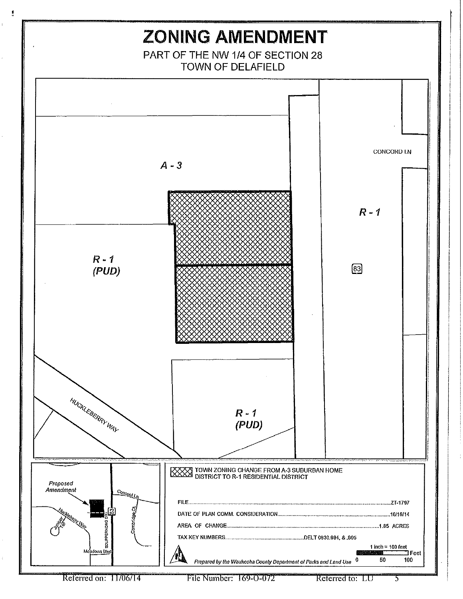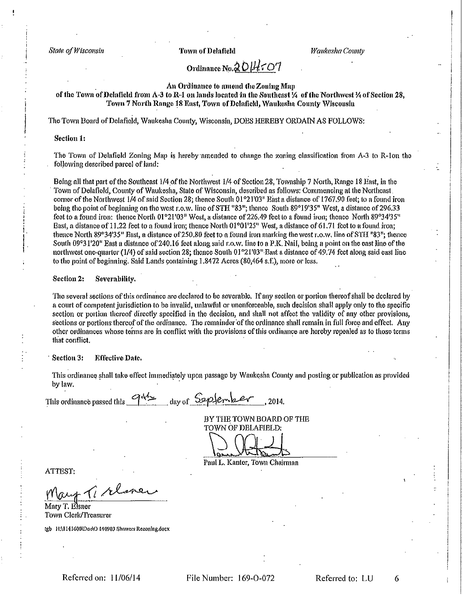State of Wisconsin

**Town of Delafield** 

Waukesha County

# Ordinance No.2014507

An Ordinance to amend the Zoning Man

of the Town of Delafield from A-3 to R-1 on lands located in the Southeast % of the Northwest % of Section 28, Town 7 North Range 18 East, Town of Delafield, Waukesha County Wiscousin

The Town Board of Delafield, Waukesha County, Wisconsin, DOES HEREBY ORDAIN AS FOLLOWS:

#### Section 1:

The Town of Delafield Zoning Map is hereby amended to change the zoning classification from A-3 to R-1on the following described parcel of land:

Being all that part of the Southeast 1/4 of the Northwest 1/4 of Section 28, Township 7 North, Range 18 East, in the Town of Delafield, County of Waukesha, State of Wisconsin, described as follows: Commencing at the Northeast corner of the Northwest 1/4 of said Section 28; thence South 01°21'03" East a distance of 1767.90 feet; to a found iron being the point of beginning on the west r.o.w. line of STH "83"; thence South 89°19'35" West, a distance of 296.33 feet to a found iron: thence North 01°21'03" West, a distance of 226.49 feet to a found iron; thence North 89°34'35" East, a distance of 11.22 feet to a found iron; thence North 01°01'25" West, a distance of 61.71 feet to a found iron; thence North 89°34'35" East, a distance of 250.80 feet to a found iron marking the west r.o.w, line of STH "83"; thence South 09°31'20" Bast a distance of 240.16 feet along said r.o.w. line to a P.K. Nail, being a point on the east line of the northwest one-quarter (1/4) of said section 28; thence South 01°21'03" East a distance of 49.74 feet along said east line to the point of beginning. Said Lands containing 1,8472 Acres (80,464 s.f.), more or less.

#### Section 2: Severability.

The several sections of this ordinance are declared to be severable. If any section or portion thereof shall be declared by a court of competent jurisdiction to be invalid, unlawful or unenforceable, such decision shall apply only to the specific section or portion thereof directly specified in the decision, and shall not affect the validity of any other provisions, sections or portions thereof of the ordinance. The remainder of the ordinance shall remain in full force and effect. Any other ordinances whose terms are in conflict with the provisions of this ordinance are hereby repealed as to those terms that conflict.

#### Section 3: **Effective Date.**

This ordinance shall take effect immediately upon passage by Waukesha County and posting or publication as provided by law.

This ordinance passed this  $G_{\text{max}}$  day of September, 2014.

BY THE TOWN BOARD OF THE TOWN OF DELAFIELD:

Paul L. Kanter, Town Chairman

ATTEST:

Mary T. Elsner Town Clerk/Treasurer

Igb HA1141600\Doc\O 140903 Showers Rezoning.docx

File Number: 169-O-072